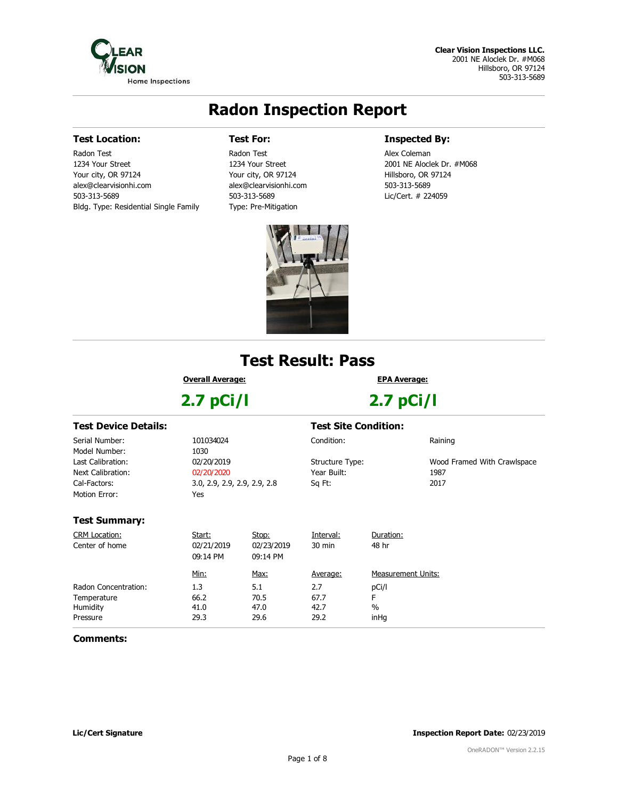

# **Radon Inspection Report**

## **Test Location:**

Radon Test 1234 Your Street Your city, OR 97124 alex@clearvisionhi.com 503-313-5689 Bldg. Type: Residential Single Family

## **Test For:**

Radon Test 1234 Your Street Your city, OR 97124 alex@clearvisionhi.com 503-313-5689 Type: Pre-Mitigation

**Inspected By:**

Alex Coleman 2001 NE Aloclek Dr. #M068 Hillsboro, OR 97124 503-313-5689 Lic/Cert. # 224059



# **Test Result: Pass**

**Overall Average:**

**2.7 pCi/l**

# **EPA Average: 2.7 pCi/l**

**Test Device Details:**

Serial Number: Model Number: Last Calibration: Next Calibration: Cal-Factors: Motion Error:

**Test Summary:**

101034024 1030 02/20/2019 02/20/2020 Yes

## **Test Site Condition:**

3.0, 2.9, 2.9, 2.9, 2.9, 2.8 Condition: Structure Type: Year Built: Sq Ft: Raining Wood Framed With Crawlspace 1987 2017

| <b>CRM Location:</b><br>Center of home | Start:<br>02/21/2019<br>09:14 PM | Stop:<br>02/23/2019<br>09:14 PM | Interval:<br>30 min | Duration:<br>48 hr        |
|----------------------------------------|----------------------------------|---------------------------------|---------------------|---------------------------|
|                                        | Min:                             | Max:                            | Average:            | <b>Measurement Units:</b> |
| Radon Concentration:                   | 1.3                              | 5.1                             | 2.7                 | pCi/l                     |
| Temperature                            | 66.2                             | 70.5                            | 67.7                | F                         |
| Humidity                               | 41.0                             | 47.0                            | 42.7                | $\%$                      |
| Pressure                               | 29.3                             | 29.6                            | 29.2                | inHq                      |
|                                        |                                  |                                 |                     |                           |

### **Comments:**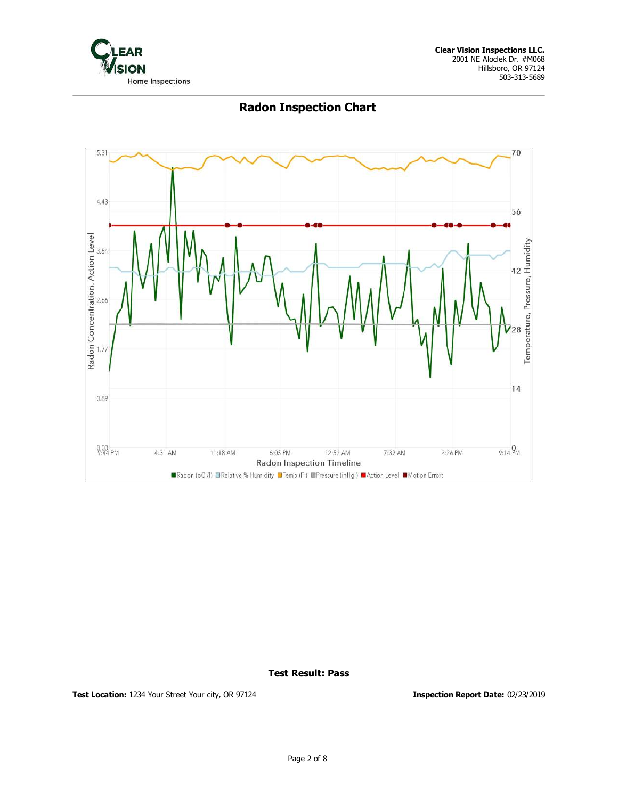



# **Radon Inspection Chart**

**Test Result: Pass**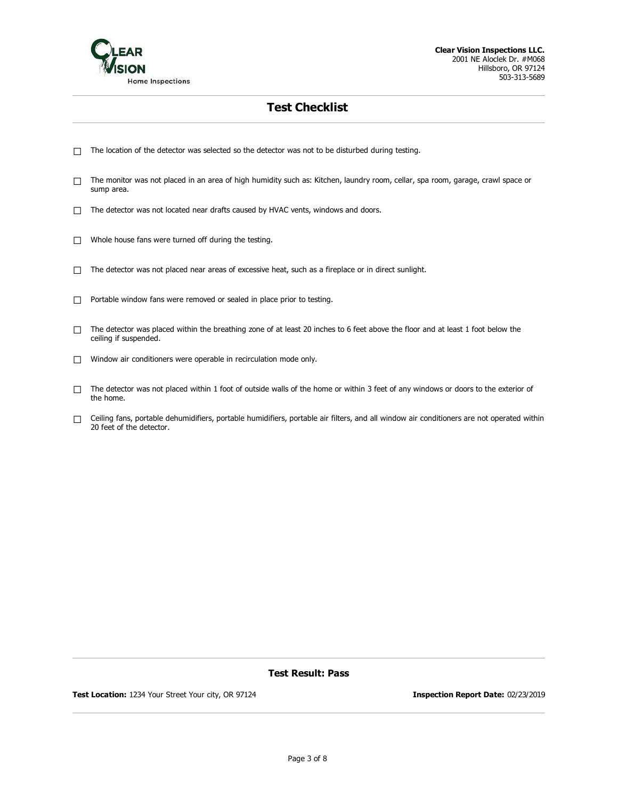

# **Test Checklist**

- $\Box$  The location of the detector was selected so the detector was not to be disturbed during testing.
- The monitor was not placed in an area of high humidity such as: Kitchen, laundry room, cellar, spa room, garage, crawl space or sump area.
- $\Box$  The detector was not located near drafts caused by HVAC vents, windows and doors.
- $\Box$  Whole house fans were turned off during the testing.
- $\Box$  The detector was not placed near areas of excessive heat, such as a fireplace or in direct sunlight.
- $\Box$  Portable window fans were removed or sealed in place prior to testing.
- $\Box$  The detector was placed within the breathing zone of at least 20 inches to 6 feet above the floor and at least 1 foot below the ceiling if suspended.
- $\Box$  Window air conditioners were operable in recirculation mode only.
- $\Box$  The detector was not placed within 1 foot of outside walls of the home or within 3 feet of any windows or doors to the exterior of the home.
- $\Box$  Ceiling fans, portable dehumidifiers, portable humidifiers, portable air filters, and all window air conditioners are not operated within 20 feet of the detector.

#### **Test Result: Pass**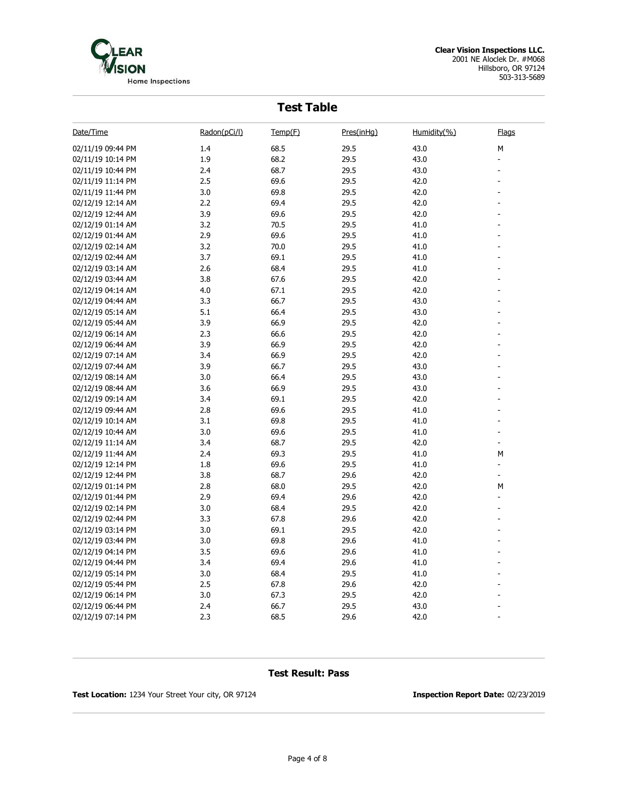

## **Test Table** Date/Time Radon(pCi/l) Temp(F) Pres(inHg) Humidity(%) Flags 02/11/19 09:44 PM 1.4 68.5 29.5 43.0 M 02/11/19 10:14 PM 1.9 68.2 29.5 43.0 02/11/19 10:44 PM 2.4 68.7 29.5 43.0 02/11/19 11:14 PM 2.5 69.6 29.5 42.0 02/11/19 11:44 PM 3.0 69.8 29.5 42.0 02/12/19 12:14 AM 2.2 69.4 29.5 42.0 02/12/19 12:44 AM 3.9 69.6 29.5 42.0 02/12/19 01:14 AM 3.2 70.5 29.5 41.0 02/12/19 01:44 AM 2.9 69.6 29.5 41.0 02/12/19 02:14 AM 3.2 70.0 29.5 41.0 02/12/19 02:44 AM 3.7 69.1 29.5 41.0 02/12/19 03:14 AM 2.6 68.4 29.5 41.0 02/12/19 03:44 AM 3.8 67.6 29.5 42.0 02/12/19 04:14 AM 4.0 67.1 29.5 42.0 02/12/19 04:44 AM 3.3 66.7 29.5 43.0 02/12/19 05:14 AM 5.1 66.4 29.5 43.0 02/12/19 05:44 AM 3.9 66.9 29.5 42.0 02/12/19 06:14 AM 2.3 66.6 29.5 42.0 02/12/19 06:44 AM 3.9 66.9 29.5 42.0 02/12/19 07:14 AM 3.4 66.9 29.5 42.0 02/12/19 07:44 AM 3.9 66.7 29.5 43.0 02/12/19 08:14 AM 3.0 66.4 29.5 43.0 02/12/19 08:44 AM 3.6 66.9 29.5 43.0 02/12/19 09:14 AM 3.4 69.1 29.5 42.0 02/12/19 09:44 AM 2.8 69.6 29.5 41.0 02/12/19 10:14 AM 3.1 69.8 29.5 41.0 02/12/19 10:44 AM 3.0 69.6 29.5 41.0 02/12/19 11:14 AM 3.4 68.7 29.5 42.0 02/12/19 11:44 AM 2.4 69.3 29.5 41.0 M 02/12/19 12:14 PM 1.8 69.6 29.5 41.0 02/12/19 12:44 PM 3.8 68.7 29.6 42.0 02/12/19 01:14 PM 2.8 68.0 29.5 42.0 M 02/12/19 01:44 PM 2.9 69.4 29.6 2.9 2.9 69.4 22.0 02/12/19 02:14 PM 3.0 68.4 29.5 42.0 -02/12/19 02:44 PM 3.3 67.8 29.6 42.0 02/12/19 03:14 PM 3.0 69.1 29.5 42.0 02/12/19 03:44 PM 3.0 69.8 29.6 41.0 02/12/19 04:14 PM 3.5 69.6 29.6 29.6 41.0 02/12/19 04:44 PM 3.4 69.4 29.6 41.0 02/12/19 05:14 PM 3.0 68.4 29.5 41.0 02/12/19 05:44 PM 2.5 67.8 29.6 29.6 42.0 02/12/19 06:14 PM 3.0 67.3 29.5 42.0 02/12/19 06:44 PM 2.4 66.7 29.5 43.0 02/12/19 07:14 PM 2.3 68.5 29.6 42.0

### **Test Result: Pass**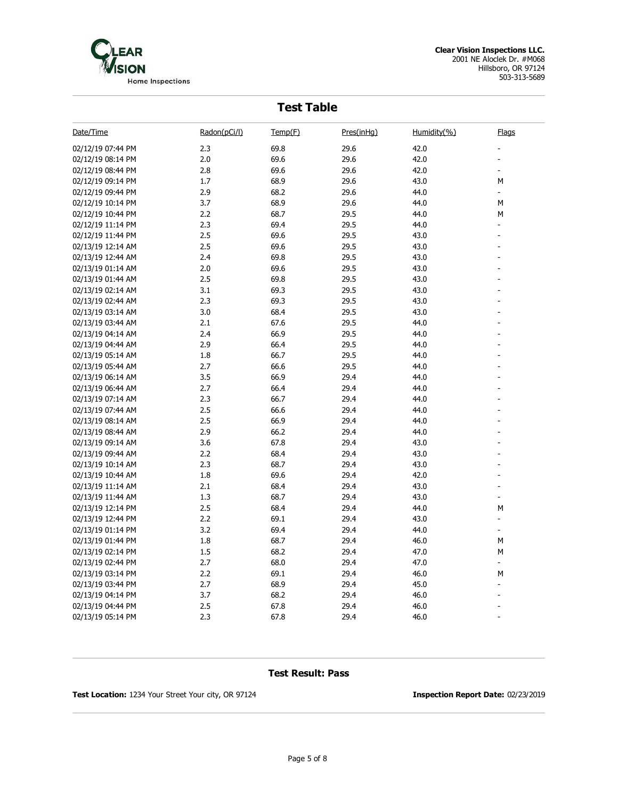

| <b>Test Table</b> |              |         |            |             |                          |  |  |  |  |
|-------------------|--------------|---------|------------|-------------|--------------------------|--|--|--|--|
| Date/Time         | Radon(pCi/l) | Temp(F) | Pres(inHg) | Humidity(%) | <b>Flags</b>             |  |  |  |  |
| 02/12/19 07:44 PM | 2.3          | 69.8    | 29.6       | 42.0        |                          |  |  |  |  |
| 02/12/19 08:14 PM | 2.0          | 69.6    | 29.6       | 42.0        |                          |  |  |  |  |
| 02/12/19 08:44 PM | 2.8          | 69.6    | 29.6       | 42.0        | $\overline{a}$           |  |  |  |  |
| 02/12/19 09:14 PM | 1.7          | 68.9    | 29.6       | 43.0        | м                        |  |  |  |  |
| 02/12/19 09:44 PM | 2.9          | 68.2    | 29.6       | 44.0        | $\qquad \qquad -$        |  |  |  |  |
| 02/12/19 10:14 PM | 3.7          | 68.9    | 29.6       | 44.0        | м                        |  |  |  |  |
| 02/12/19 10:44 PM | 2.2          | 68.7    | 29.5       | 44.0        | М                        |  |  |  |  |
| 02/12/19 11:14 PM | 2.3          | 69.4    | 29.5       | 44.0        | $\overline{a}$           |  |  |  |  |
| 02/12/19 11:44 PM | $2.5\,$      | 69.6    | 29.5       | 43.0        |                          |  |  |  |  |
| 02/13/19 12:14 AM | 2.5          | 69.6    | 29.5       | 43.0        |                          |  |  |  |  |
| 02/13/19 12:44 AM | 2.4          | 69.8    | 29.5       | 43.0        |                          |  |  |  |  |
| 02/13/19 01:14 AM | 2.0          | 69.6    | 29.5       | 43.0        |                          |  |  |  |  |
| 02/13/19 01:44 AM | 2.5          | 69.8    | 29.5       | 43.0        |                          |  |  |  |  |
| 02/13/19 02:14 AM | 3.1          | 69.3    | 29.5       | 43.0        |                          |  |  |  |  |
| 02/13/19 02:44 AM | 2.3          | 69.3    | 29.5       | 43.0        |                          |  |  |  |  |
| 02/13/19 03:14 AM | 3.0          | 68.4    | 29.5       | 43.0        |                          |  |  |  |  |
|                   | 2.1          | 67.6    | 29.5       | 44.0        |                          |  |  |  |  |
| 02/13/19 03:44 AM |              | 66.9    |            | 44.0        |                          |  |  |  |  |
| 02/13/19 04:14 AM | 2.4          |         | 29.5       |             |                          |  |  |  |  |
| 02/13/19 04:44 AM | 2.9          | 66.4    | 29.5       | 44.0        |                          |  |  |  |  |
| 02/13/19 05:14 AM | 1.8          | 66.7    | 29.5       | 44.0        |                          |  |  |  |  |
| 02/13/19 05:44 AM | 2.7          | 66.6    | 29.5       | 44.0        |                          |  |  |  |  |
| 02/13/19 06:14 AM | 3.5          | 66.9    | 29.4       | 44.0        |                          |  |  |  |  |
| 02/13/19 06:44 AM | 2.7          | 66.4    | 29.4       | 44.0        |                          |  |  |  |  |
| 02/13/19 07:14 AM | 2.3          | 66.7    | 29.4       | 44.0        |                          |  |  |  |  |
| 02/13/19 07:44 AM | 2.5          | 66.6    | 29.4       | 44.0        |                          |  |  |  |  |
| 02/13/19 08:14 AM | $2.5\,$      | 66.9    | 29.4       | 44.0        |                          |  |  |  |  |
| 02/13/19 08:44 AM | 2.9          | 66.2    | 29.4       | 44.0        |                          |  |  |  |  |
| 02/13/19 09:14 AM | 3.6          | 67.8    | 29.4       | 43.0        |                          |  |  |  |  |
| 02/13/19 09:44 AM | 2.2          | 68.4    | 29.4       | 43.0        |                          |  |  |  |  |
| 02/13/19 10:14 AM | 2.3          | 68.7    | 29.4       | 43.0        |                          |  |  |  |  |
| 02/13/19 10:44 AM | 1.8          | 69.6    | 29.4       | 42.0        |                          |  |  |  |  |
| 02/13/19 11:14 AM | 2.1          | 68.4    | 29.4       | 43.0        | $\overline{a}$           |  |  |  |  |
| 02/13/19 11:44 AM | 1.3          | 68.7    | 29.4       | 43.0        | $\overline{a}$           |  |  |  |  |
| 02/13/19 12:14 PM | 2.5          | 68.4    | 29.4       | 44.0        | М                        |  |  |  |  |
| 02/13/19 12:44 PM | 2.2          | 69.1    | 29.4       | 43.0        | $\overline{\phantom{0}}$ |  |  |  |  |
| 02/13/19 01:14 PM | 3.2          | 69.4    | 29.4       | 44.0        | $\frac{1}{2}$            |  |  |  |  |
| 02/13/19 01:44 PM | 1.8          | 68.7    | 29.4       | 46.0        | М                        |  |  |  |  |
| 02/13/19 02:14 PM | 1.5          | 68.2    | 29.4       | 47.0        | м                        |  |  |  |  |
| 02/13/19 02:44 PM | 2.7          | 68.0    | 29.4       | 47.0        | $\overline{\phantom{0}}$ |  |  |  |  |
| 02/13/19 03:14 PM | 2.2          | 69.1    | 29.4       | 46.0        | м                        |  |  |  |  |
| 02/13/19 03:44 PM | 2.7          | 68.9    | 29.4       | 45.0        |                          |  |  |  |  |
| 02/13/19 04:14 PM | 3.7          | 68.2    | 29.4       | 46.0        |                          |  |  |  |  |
| 02/13/19 04:44 PM | 2.5          | 67.8    | 29.4       | 46.0        |                          |  |  |  |  |
| 02/13/19 05:14 PM | 2.3          | 67.8    | 29.4       | 46.0        |                          |  |  |  |  |

### **Test Result: Pass**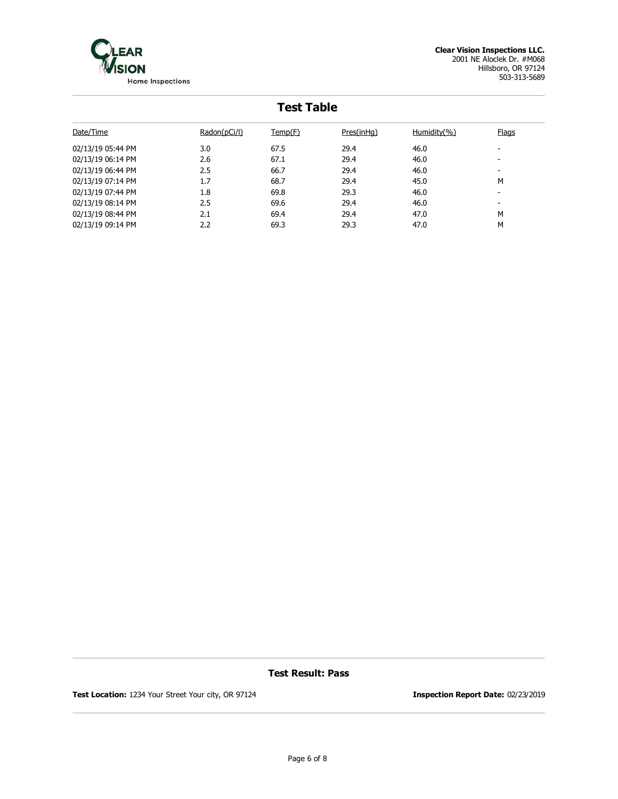

| <b>Test Table</b> |              |         |            |             |                          |  |  |  |  |
|-------------------|--------------|---------|------------|-------------|--------------------------|--|--|--|--|
| Date/Time         | Radon(pCi/l) | Temp(F) | Pres(inHq) | Humidity(%) | <b>Flags</b>             |  |  |  |  |
| 02/13/19 05:44 PM | 3.0          | 67.5    | 29.4       | 46.0        | $\overline{\phantom{0}}$ |  |  |  |  |
| 02/13/19 06:14 PM | 2.6          | 67.1    | 29.4       | 46.0        | $\overline{\phantom{0}}$ |  |  |  |  |
| 02/13/19 06:44 PM | 2.5          | 66.7    | 29.4       | 46.0        | $\overline{\phantom{0}}$ |  |  |  |  |
| 02/13/19 07:14 PM | 1.7          | 68.7    | 29.4       | 45.0        | M                        |  |  |  |  |
| 02/13/19 07:44 PM | 1.8          | 69.8    | 29.3       | 46.0        | $\overline{\phantom{0}}$ |  |  |  |  |
| 02/13/19 08:14 PM | 2.5          | 69.6    | 29.4       | 46.0        | $\overline{\phantom{0}}$ |  |  |  |  |
| 02/13/19 08:44 PM | 2.1          | 69.4    | 29.4       | 47.0        | M                        |  |  |  |  |
| 02/13/19 09:14 PM | 2.2          | 69.3    | 29.3       | 47.0        | M                        |  |  |  |  |
|                   |              |         |            |             |                          |  |  |  |  |

**Test Result: Pass**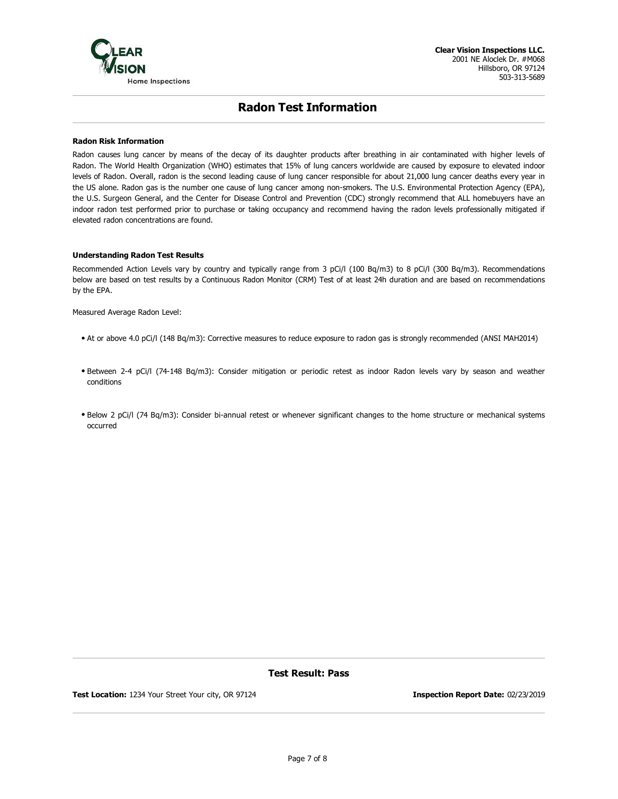

# **Radon Test Information**

#### **Radon Risk Information**

Radon causes lung cancer by means of the decay of its daughter products after breathing in air contaminated with higher levels of Radon. The World Health Organization (WHO) estimates that 15% of lung cancers worldwide are caused by exposure to elevated indoor levels of Radon. Overall, radon is the second leading cause of lung cancer responsible for about 21,000 lung cancer deaths every year in the US alone. Radon gas is the number one cause of lung cancer among non-smokers. The U.S. Environmental Protection Agency (EPA), the U.S. Surgeon General, and the Center for Disease Control and Prevention (CDC) strongly recommend that ALL homebuyers have an indoor radon test performed prior to purchase or taking occupancy and recommend having the radon levels professionally mitigated if elevated radon concentrations are found.

#### **Understanding Radon Test Results**

Recommended Action Levels vary by country and typically range from 3 pCi/l (100 Bq/m3) to 8 pCi/l (300 Bq/m3). Recommendations below are based on test results by a Continuous Radon Monitor (CRM) Test of at least 24h duration and are based on recommendations by the EPA.

Measured Average Radon Level:

- At or above 4.0 pCi/l (148 Bq/m3): Corrective measures to reduce exposure to radon gas is strongly recommended (ANSI MAH2014)
- · Between 2-4 pCi/l (74-148 Bq/m3): Consider mitigation or periodic retest as indoor Radon levels vary by season and weather conditions
- Below 2 pCi/l (74 Bq/m3): Consider bi-annual retest or whenever significant changes to the home structure or mechanical systems occurred

### **Test Result: Pass**